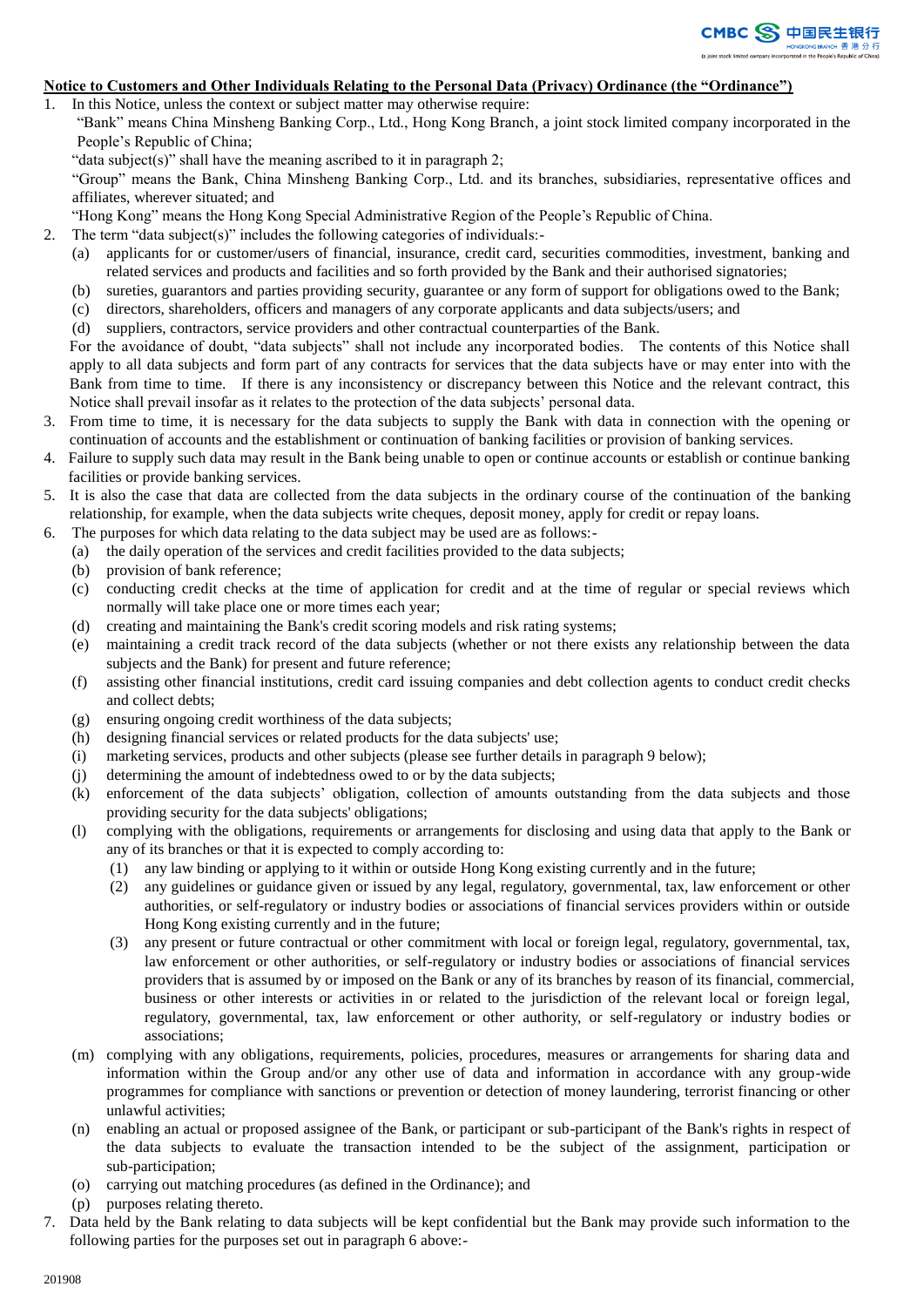

### **Notice to Customers and Other Individuals Relating to the Personal Data (Privacy) Ordinance (the "Ordinance")**

- 1. In this Notice, unless the context or subject matter may otherwise require:
	- "Bank" means China Minsheng Banking Corp., Ltd., Hong Kong Branch, a joint stock limited company incorporated in the People's Republic of China;
		- "data subject(s)" shall have the meaning ascribed to it in paragraph 2;

"Group" means the Bank, China Minsheng Banking Corp., Ltd. and its branches, subsidiaries, representative offices and affiliates, wherever situated; and

- "Hong Kong" means the Hong Kong Special Administrative Region of the People's Republic of China.
- 2. The term "data subject(s)" includes the following categories of individuals:-
	- (a) applicants for or customer/users of financial, insurance, credit card, securities commodities, investment, banking and related services and products and facilities and so forth provided by the Bank and their authorised signatories;
	- (b) sureties, guarantors and parties providing security, guarantee or any form of support for obligations owed to the Bank;
	- (c) directors, shareholders, officers and managers of any corporate applicants and data subjects/users; and
	- (d) suppliers, contractors, service providers and other contractual counterparties of the Bank.

For the avoidance of doubt, "data subjects" shall not include any incorporated bodies. The contents of this Notice shall apply to all data subjects and form part of any contracts for services that the data subjects have or may enter into with the Bank from time to time. If there is any inconsistency or discrepancy between this Notice and the relevant contract, this Notice shall prevail insofar as it relates to the protection of the data subjects' personal data.

- 3. From time to time, it is necessary for the data subjects to supply the Bank with data in connection with the opening or continuation of accounts and the establishment or continuation of banking facilities or provision of banking services.
- 4. Failure to supply such data may result in the Bank being unable to open or continue accounts or establish or continue banking facilities or provide banking services.
- 5. It is also the case that data are collected from the data subjects in the ordinary course of the continuation of the banking relationship, for example, when the data subjects write cheques, deposit money, apply for credit or repay loans.
- 6. The purposes for which data relating to the data subject may be used are as follows:-
	- (a) the daily operation of the services and credit facilities provided to the data subjects;
	- (b) provision of bank reference;
	- (c) conducting credit checks at the time of application for credit and at the time of regular or special reviews which normally will take place one or more times each year;
	- (d) creating and maintaining the Bank's credit scoring models and risk rating systems;
	- (e) maintaining a credit track record of the data subjects (whether or not there exists any relationship between the data subjects and the Bank) for present and future reference;
	- (f) assisting other financial institutions, credit card issuing companies and debt collection agents to conduct credit checks and collect debts;
	- (g) ensuring ongoing credit worthiness of the data subjects;
	- (h) designing financial services or related products for the data subjects' use;
	- (i) marketing services, products and other subjects (please see further details in paragraph 9 below);
	- (j) determining the amount of indebtedness owed to or by the data subjects;
	- (k) enforcement of the data subjects' obligation, collection of amounts outstanding from the data subjects and those providing security for the data subjects' obligations;
	- (l) complying with the obligations, requirements or arrangements for disclosing and using data that apply to the Bank or any of its branches or that it is expected to comply according to:
		- (1) any law binding or applying to it within or outside Hong Kong existing currently and in the future;
		- (2) any guidelines or guidance given or issued by any legal, regulatory, governmental, tax, law enforcement or other authorities, or self-regulatory or industry bodies or associations of financial services providers within or outside Hong Kong existing currently and in the future;
		- (3) any present or future contractual or other commitment with local or foreign legal, regulatory, governmental, tax, law enforcement or other authorities, or self-regulatory or industry bodies or associations of financial services providers that is assumed by or imposed on the Bank or any of its branches by reason of its financial, commercial, business or other interests or activities in or related to the jurisdiction of the relevant local or foreign legal, regulatory, governmental, tax, law enforcement or other authority, or self-regulatory or industry bodies or associations;
	- (m) complying with any obligations, requirements, policies, procedures, measures or arrangements for sharing data and information within the Group and/or any other use of data and information in accordance with any group-wide programmes for compliance with sanctions or prevention or detection of money laundering, terrorist financing or other unlawful activities;
	- (n) enabling an actual or proposed assignee of the Bank, or participant or sub-participant of the Bank's rights in respect of the data subjects to evaluate the transaction intended to be the subject of the assignment, participation or sub-participation;
	- (o) carrying out matching procedures (as defined in the Ordinance); and
	- (p) purposes relating thereto.
- 7. Data held by the Bank relating to data subjects will be kept confidential but the Bank may provide such information to the following parties for the purposes set out in paragraph 6 above:-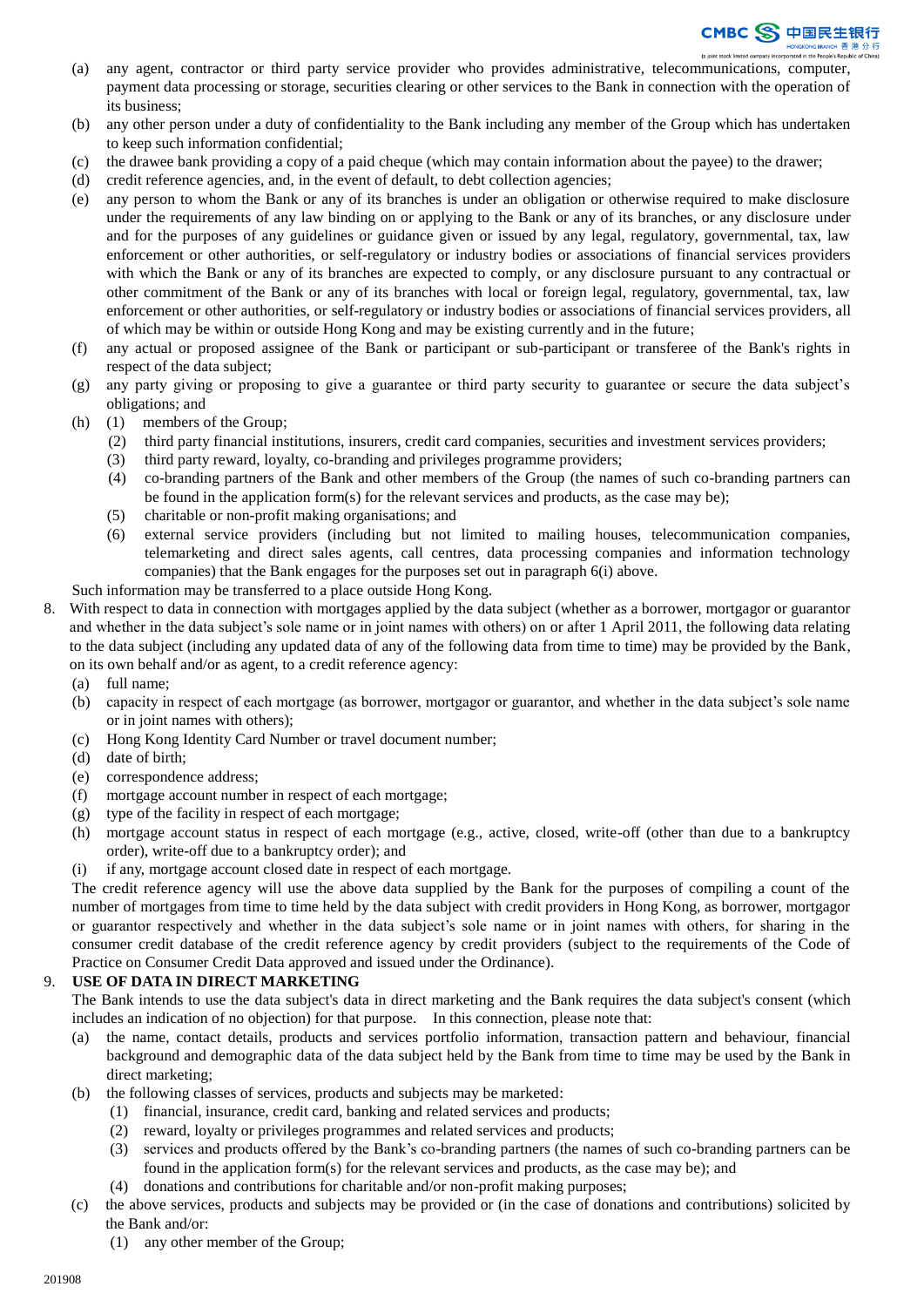

- (a) any agent, contractor or third party service provider who provides administrative, telecommunications, computer, payment data processing or storage, securities clearing or other services to the Bank in connection with the operation of its business;
- (b) any other person under a duty of confidentiality to the Bank including any member of the Group which has undertaken to keep such information confidential;
- (c) the drawee bank providing a copy of a paid cheque (which may contain information about the payee) to the drawer;
- (d) credit reference agencies, and, in the event of default, to debt collection agencies;
- (e) any person to whom the Bank or any of its branches is under an obligation or otherwise required to make disclosure under the requirements of any law binding on or applying to the Bank or any of its branches, or any disclosure under and for the purposes of any guidelines or guidance given or issued by any legal, regulatory, governmental, tax, law enforcement or other authorities, or self-regulatory or industry bodies or associations of financial services providers with which the Bank or any of its branches are expected to comply, or any disclosure pursuant to any contractual or other commitment of the Bank or any of its branches with local or foreign legal, regulatory, governmental, tax, law enforcement or other authorities, or self-regulatory or industry bodies or associations of financial services providers, all of which may be within or outside Hong Kong and may be existing currently and in the future;
- (f) any actual or proposed assignee of the Bank or participant or sub-participant or transferee of the Bank's rights in respect of the data subject;
- (g) any party giving or proposing to give a guarantee or third party security to guarantee or secure the data subject's obligations; and
- (h) (1) members of the Group;
	- (2) third party financial institutions, insurers, credit card companies, securities and investment services providers;
	- (3) third party reward, loyalty, co-branding and privileges programme providers;
	- (4) co-branding partners of the Bank and other members of the Group (the names of such co-branding partners can be found in the application form(s) for the relevant services and products, as the case may be);
	- (5) charitable or non-profit making organisations; and
	- (6) external service providers (including but not limited to mailing houses, telecommunication companies, telemarketing and direct sales agents, call centres, data processing companies and information technology companies) that the Bank engages for the purposes set out in paragraph 6(i) above.

Such information may be transferred to a place outside Hong Kong.

- 8. With respect to data in connection with mortgages applied by the data subject (whether as a borrower, mortgagor or guarantor and whether in the data subject's sole name or in joint names with others) on or after 1 April 2011, the following data relating to the data subject (including any updated data of any of the following data from time to time) may be provided by the Bank, on its own behalf and/or as agent, to a credit reference agency:
	- (a) full name;
	- (b) capacity in respect of each mortgage (as borrower, mortgagor or guarantor, and whether in the data subject's sole name or in joint names with others);
	- (c) Hong Kong Identity Card Number or travel document number;
	- (d) date of birth;
	- (e) correspondence address;
	- (f) mortgage account number in respect of each mortgage;
	- (g) type of the facility in respect of each mortgage;
	- (h) mortgage account status in respect of each mortgage (e.g., active, closed, write-off (other than due to a bankruptcy order), write-off due to a bankruptcy order); and
	- (i) if any, mortgage account closed date in respect of each mortgage.

The credit reference agency will use the above data supplied by the Bank for the purposes of compiling a count of the number of mortgages from time to time held by the data subject with credit providers in Hong Kong, as borrower, mortgagor or guarantor respectively and whether in the data subject's sole name or in joint names with others, for sharing in the consumer credit database of the credit reference agency by credit providers (subject to the requirements of the Code of Practice on Consumer Credit Data approved and issued under the Ordinance).

## 9. **USE OF DATA IN DIRECT MARKETING**

The Bank intends to use the data subject's data in direct marketing and the Bank requires the data subject's consent (which includes an indication of no objection) for that purpose. In this connection, please note that:

- (a) the name, contact details, products and services portfolio information, transaction pattern and behaviour, financial background and demographic data of the data subject held by the Bank from time to time may be used by the Bank in direct marketing;
- (b) the following classes of services, products and subjects may be marketed:
	- (1) financial, insurance, credit card, banking and related services and products;
	- (2) reward, loyalty or privileges programmes and related services and products;
	- (3) services and products offered by the Bank's co-branding partners (the names of such co-branding partners can be found in the application form(s) for the relevant services and products, as the case may be); and
	- (4) donations and contributions for charitable and/or non-profit making purposes;
- (c) the above services, products and subjects may be provided or (in the case of donations and contributions) solicited by the Bank and/or:
	- (1) any other member of the Group;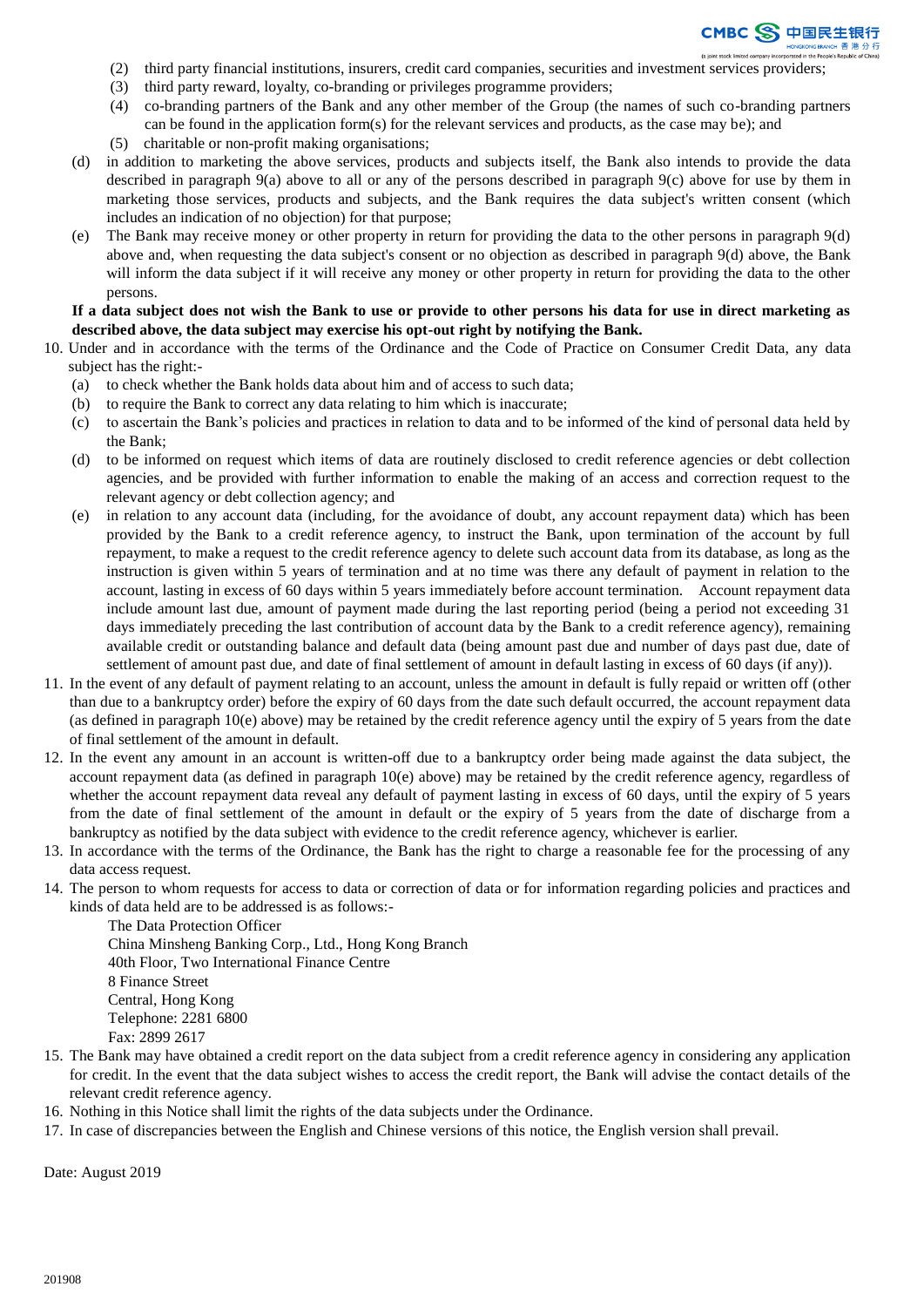

- (2) third party financial institutions, insurers, credit card companies, securities and investment services providers;
- (3) third party reward, loyalty, co-branding or privileges programme providers;
- (4) co-branding partners of the Bank and any other member of the Group (the names of such co-branding partners can be found in the application form(s) for the relevant services and products, as the case may be); and
- (5) charitable or non-profit making organisations;
- (d) in addition to marketing the above services, products and subjects itself, the Bank also intends to provide the data described in paragraph 9(a) above to all or any of the persons described in paragraph 9(c) above for use by them in marketing those services, products and subjects, and the Bank requires the data subject's written consent (which includes an indication of no objection) for that purpose;
- (e) The Bank may receive money or other property in return for providing the data to the other persons in paragraph 9(d) above and, when requesting the data subject's consent or no objection as described in paragraph 9(d) above, the Bank will inform the data subject if it will receive any money or other property in return for providing the data to the other persons.

### **If a data subject does not wish the Bank to use or provide to other persons his data for use in direct marketing as described above, the data subject may exercise his opt-out right by notifying the Bank.**

- 10. Under and in accordance with the terms of the Ordinance and the Code of Practice on Consumer Credit Data, any data subject has the right:-
	- (a) to check whether the Bank holds data about him and of access to such data;
	- (b) to require the Bank to correct any data relating to him which is inaccurate;
	- (c) to ascertain the Bank's policies and practices in relation to data and to be informed of the kind of personal data held by the Bank;
	- (d) to be informed on request which items of data are routinely disclosed to credit reference agencies or debt collection agencies, and be provided with further information to enable the making of an access and correction request to the relevant agency or debt collection agency; and
	- (e) in relation to any account data (including, for the avoidance of doubt, any account repayment data) which has been provided by the Bank to a credit reference agency, to instruct the Bank, upon termination of the account by full repayment, to make a request to the credit reference agency to delete such account data from its database, as long as the instruction is given within 5 years of termination and at no time was there any default of payment in relation to the account, lasting in excess of 60 days within 5 years immediately before account termination. Account repayment data include amount last due, amount of payment made during the last reporting period (being a period not exceeding 31 days immediately preceding the last contribution of account data by the Bank to a credit reference agency), remaining available credit or outstanding balance and default data (being amount past due and number of days past due, date of settlement of amount past due, and date of final settlement of amount in default lasting in excess of 60 days (if any)).
- 11. In the event of any default of payment relating to an account, unless the amount in default is fully repaid or written off (other than due to a bankruptcy order) before the expiry of 60 days from the date such default occurred, the account repayment data (as defined in paragraph 10(e) above) may be retained by the credit reference agency until the expiry of 5 years from the date of final settlement of the amount in default.
- 12. In the event any amount in an account is written-off due to a bankruptcy order being made against the data subject, the account repayment data (as defined in paragraph 10(e) above) may be retained by the credit reference agency, regardless of whether the account repayment data reveal any default of payment lasting in excess of 60 days, until the expiry of 5 years from the date of final settlement of the amount in default or the expiry of 5 years from the date of discharge from a bankruptcy as notified by the data subject with evidence to the credit reference agency, whichever is earlier.
- 13. In accordance with the terms of the Ordinance, the Bank has the right to charge a reasonable fee for the processing of any data access request.
- 14. The person to whom requests for access to data or correction of data or for information regarding policies and practices and kinds of data held are to be addressed is as follows:-

The Data Protection Officer China Minsheng Banking Corp., Ltd., Hong Kong Branch 40th Floor, Two International Finance Centre 8 Finance Street Central, Hong Kong Telephone: 2281 6800 Fax: 2899 2617

- 15. The Bank may have obtained a credit report on the data subject from a credit reference agency in considering any application for credit. In the event that the data subject wishes to access the credit report, the Bank will advise the contact details of the relevant credit reference agency.
- 16. Nothing in this Notice shall limit the rights of the data subjects under the Ordinance.
- 17. In case of discrepancies between the English and Chinese versions of this notice, the English version shall prevail.

Date: August 2019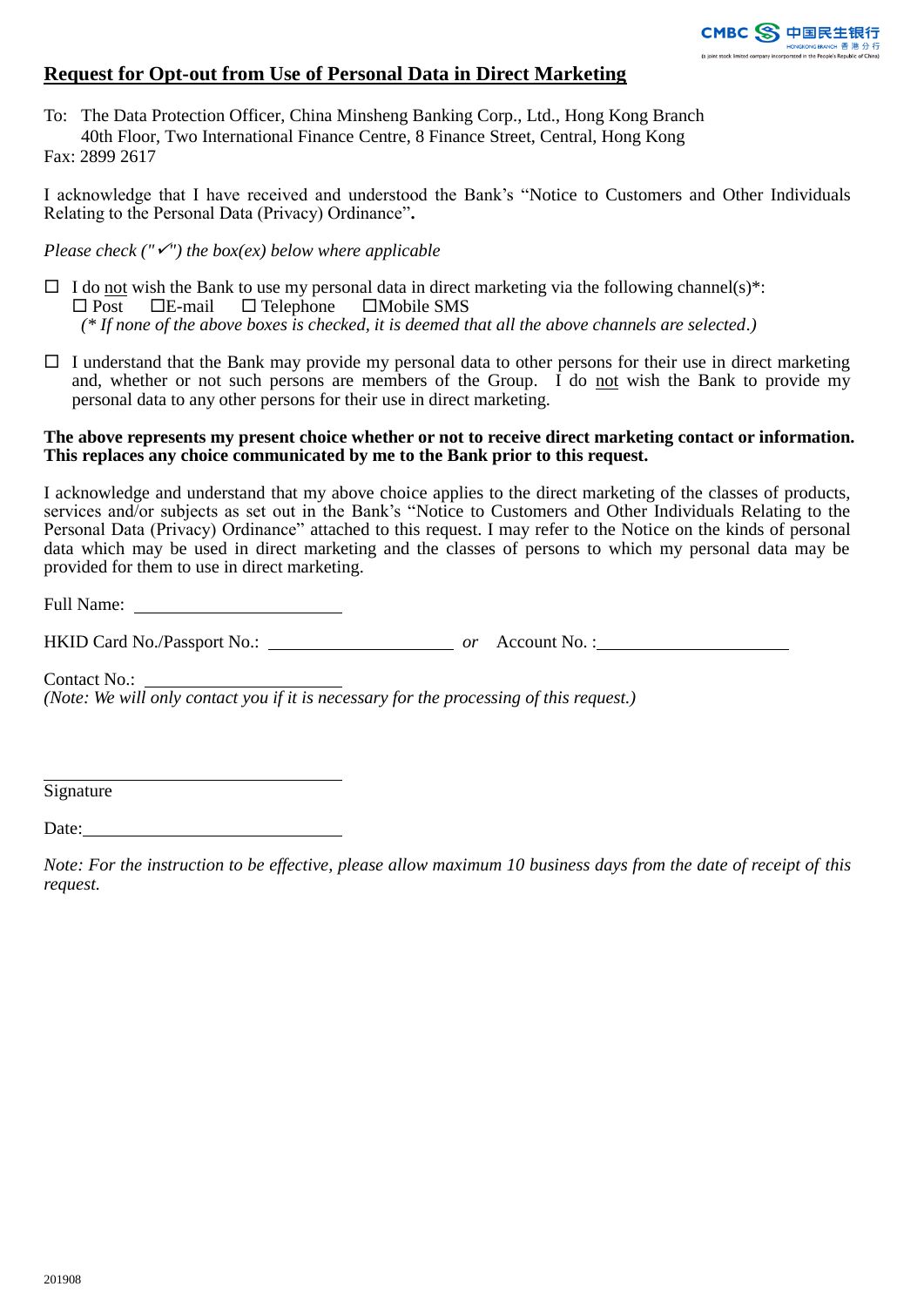

# **Request for Opt-out from Use of Personal Data in Direct Marketing**

To: The Data Protection Officer, China Minsheng Banking Corp., Ltd., Hong Kong Branch 40th Floor, Two International Finance Centre, 8 Finance Street, Central, Hong Kong Fax: 2899 2617

I acknowledge that I have received and understood the Bank's "Notice to Customers and Other Individuals Relating to the Personal Data (Privacy) Ordinance"**.**

*Please check ("") the box(ex) below where applicable*

- $\Box$  I do not wish the Bank to use my personal data in direct marketing via the following channel(s)\*:  $\Box$  Post  $\Box$  E-mail  $\Box$  Telephone  $\Box$  Mobile SMS *(\* If none of the above boxes is checked, it is deemed that all the above channels are selected.)*
- $\Box$  I understand that the Bank may provide my personal data to other persons for their use in direct marketing and, whether or not such persons are members of the Group. I do not wish the Bank to provide my personal data to any other persons for their use in direct marketing.

## **The above represents my present choice whether or not to receive direct marketing contact or information. This replaces any choice communicated by me to the Bank prior to this request.**

I acknowledge and understand that my above choice applies to the direct marketing of the classes of products, services and/or subjects as set out in the Bank's "Notice to Customers and Other Individuals Relating to the Personal Data (Privacy) Ordinance" attached to this request. I may refer to the Notice on the kinds of personal data which may be used in direct marketing and the classes of persons to which my personal data may be provided for them to use in direct marketing.

Full Name:

HKID Card No./Passport No.: *or* Account No. :

Contact No.:

*(Note: We will only contact you if it is necessary for the processing of this request.)*

**Signature** 

Date:

*Note: For the instruction to be effective, please allow maximum 10 business days from the date of receipt of this request.*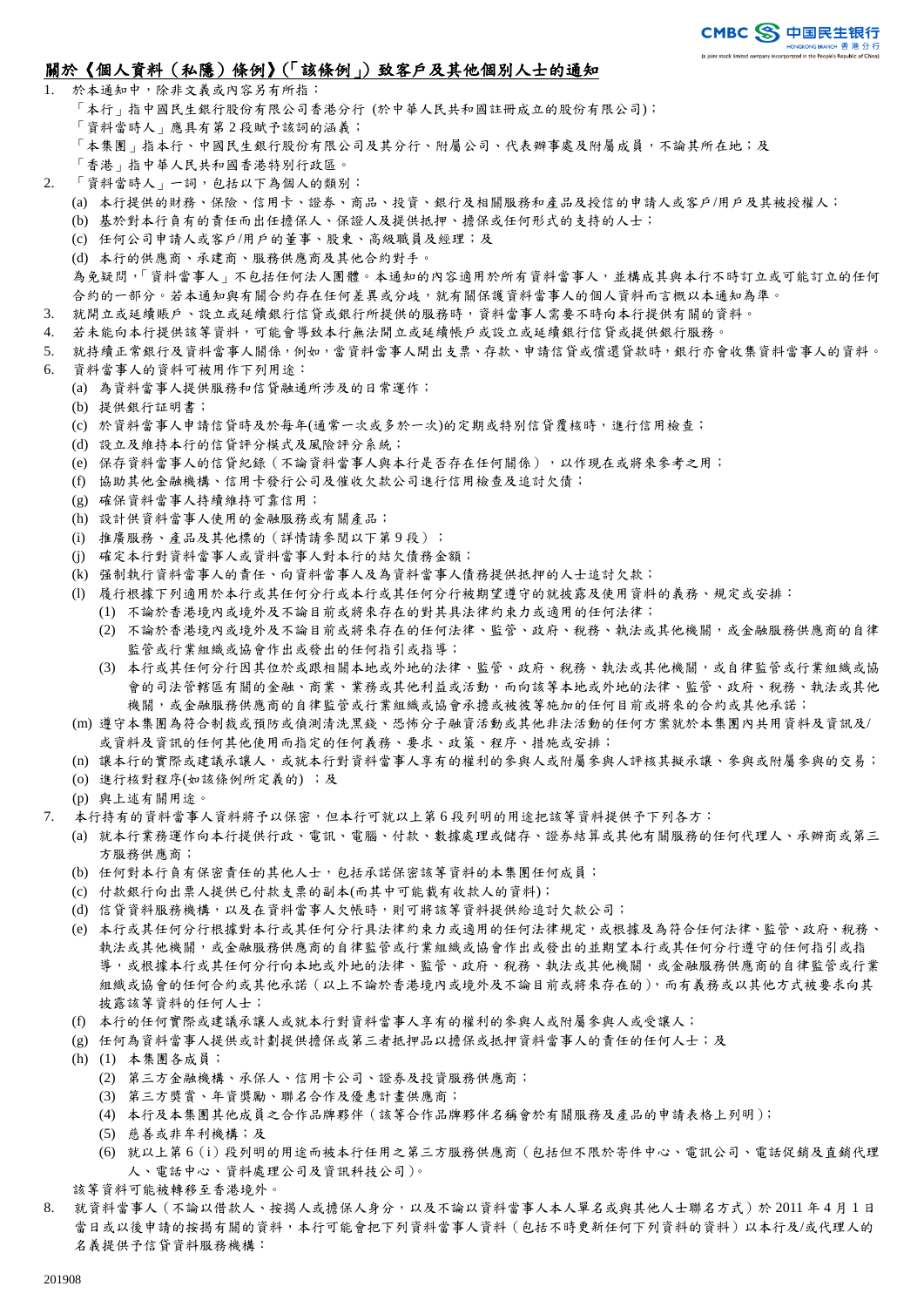## 關於《個人資料(私隱)條例》(「該條例」)致客戶及其他個別人士的通知

- 1. 於本通知中,除非文義或內容另有所指: 「本行」指中國民生銀行股份有限公司香港分行 (於中華人民共和國註冊成立的股份有限公司); 「資料當時人」應具有第 2 段賦予該詞的涵義; 「本集團」指本行、中國民生銀行股公司及其分行、附屬公司、代表辦事處及附屬成員,不論其所在地;及 「香港」指中華人民共和國香港特別行政區。
- 2. 「資料當時人」一詞,包括以下為個人的類別:
	- (a) 本行提供的財務、保險、信用卡、證券、商品、投資、銀行及相關服務和產品及授信的申請人或客戶/用戶及其被授權人;
	- (b) 基於對本行負有的責任而出任擔保人、保證人及提供抵押、擔保或任何形式的支持的人士;
	- (c) 任何公司申請人或客戶/用戶的董事、股東、高級職員及經理;及
	- (d) 本行的供應商、承建商、服務供應商及其他合約對手。

為免疑問,「資料當事人」不包括任何法人團體。本通知的內容適用於所有資料當事人,並構成其與本行不時訂立或可能訂立的任何 合約的一部分。若本通知與有關合約存在任何差異或分歧,就有關保護資料當事人的個人資料而言概以本通知為準。

- 3. 就開立或延續賬戶、設立或延續銀行信貸或銀行所提供的服務時,資料當事人需要不時向本行提供有關的資料。
- 4. 若未能向本行提供該等資料,可能會導致本行無法開立或延續帳戶或設立或延續銀行信貸或提供銀行服務。
- 5. 就持續正常銀行及資料當事人關係,例如,當資料當事人開出支票、存款、申請信貸或償還貸款時,銀行亦會收集資料當事人的資料。
- 6. 資料當事人的資料可被用作下列用途:
	- (a) 為資料當事人提供服務和信貸融通所涉及的日常運作;
	- (b) 提供銀行証明書;
	- (c) 於資料當事人申請信貸時及於每年(通常一次或多於一次)的定期或特別信貸覆核時,進行信用檢查;
	- (d) 設立及維持本行的信貸評分模式及風險評分系統;
	- (e) 保存資料當事人的信貸紀錄(不論資料當事人與本行是否存在任何關係),以作現在或將來參考之用;
	- (f) 協助其他金融機構、信用卡發行公司及催收欠款公司進行信用檢查及追討欠債;
	- (g) 確保資料當事人持續維持可靠信用;
	- (h) 設計供資料當事人使用的金融服務或有關產品;
	- (i) 推廣服務、產品及其他標的 (詳情請參閱以下第9段);
	- (j) 確定本行對資料當事人或資料當事人對本行的結欠債務金額;
	- (k) 强制執行資料當事人的責任、向資料當事人及為資料當事人債務提供抵押的人士追討欠款;
	- (l) 履行根據下列適用於本行或其任何分行或本行或其任何分行被期望遵守的就披露及使用資料的義務、規定或安排:
		- (1) 不論於香港境內或境外及不論目前或將來存在的對其具法律約束力或適用的任何法律;
			- (2) 不論於香港境內或境外及不論目前或將來存在的任何法律、監管、政府、稅務、執法或其他機關,或金融服務供應商的自律 監管或行業組織或協會作出或發出的任何指引或指導;
			- (3) 本行或其任何分行因其位於或跟相關本地或外地的法律、監管、政府、稅務、執法或其他機關,或自律監管或行業組織或協 會的司法管轄區有關的金融、商業、業務或其他利益或活動,而向該等本地或外地的法律、監管、政府、稅務、執法或其他 機關,或金融服務供應商的自律監管或行業組織或協會承擔或被彼等施加的任何目前或將來的合約或其他承諾;
	- (m) 遵守本集團為符合制裁或預防或偵測清洗黑錢、恐怖分子融資活動或其他非法活動的任何方案就於本集團內共用資料及資訊及/ 或資料及資訊的任何其他使用而指定的任何義務、要求、政策、程序、措施或安排;
	- (n) 讓本行的實際或建議承讓人,或就本行對資料當事人享有的權利的參與人或附屬參與人評核其擬承讓、參與或附屬參與的交易;
	- (o) 進行核對程序(如該條例所定義的) ;及
	- (p) 與上述有關用途。
- 7. 本行持有的資料當事人資料將予以保密,但本行可就以上第 6 段列明的用途把該等資料提供予下列各方:
	- (a) 就本行業務運作向本行提供行政、電訊、電腦、付款、數據處理或儲存、證券結算或其他有關服務的任何代理人、承辦商或第三 方服務供應商;
	- (b) 任何對本行負有保密責任的其他人士,包括承諾保密該等資料的本集團任何成員;
	- (c) 付款銀行向出票人提供已付款支票的副本(而其中可能載有收款人的資料);
	- (d) 信貸資料服務機構,以及在資料當事人欠帳時,則可將該等資料提供給追討欠款公司;
	- (e) 本行或其任何分行根據對本行或其任何分行具法律約束力或適用的任何法律規定,或根據及為符合任何法律、監管、政府、稅務、 執法或其他機關,或金融服務供應商的自律監管或行業組織或協會作出或發出的並期望本行或其任何分行遵守的任何指引或指 導,或根據本行或其任何分行向本地或外地的法律、監管、政府、稅務、執法或其他機關,或金融服務供應商的自律監管或行業 組織或協會的任何合約或其他承諾(以上不論於香港境內或境外及不論目前或將來存在的),而有義務或以其他方式被要求向其 披露該等資料的任何人士;
	- (f) 本行的任何實際或建議承讓人或就本行對資料當事人享有的權利的參與人或附屬參與人或受讓人;
	- (g) 任何為資料當事人提供或計劃提供擔保或第三者抵押品以擔保或抵押資料當事人的責任的任何人士;及
	- (h) (1) 本集團各成員;
		- (2) 第三方金融機構、承保人、信用卡公司、證券及投資服務供應商;
		- (3) 第三方獎賞、年資獎勵、聯名合作及優惠計畫供應商;
		- (4) 本行及本集團其他成員之合作品牌夥伴(該等合作品牌夥伴名稱會於有關服務及產品的申請表格上列明);
		- (5) 慈善或非牟利機構;及
		- (6) 就以上第 6(i)段列明的用途而被本行任用之第三方服務供應商(包括但不限於寄件中心、電訊公司、電話促銷及直銷代理 人、電話中心、資料處理公司及資訊科技公司)。
	- 該等資料可能被轉移至香港境外。
- 8. 就資料當事人 (不論以借款人、按揭人或擔保人身分,以及不論以資料當事人本人單名或與其他人士聯名方式)於 2011 年4月1日 當日或以後申請的按揭有關的資料,本行可能會把下列資料當事人資料(包括不時更新任何下列資料的資料)以本行及/或代理人的 名義提供予信貸資料服務機構: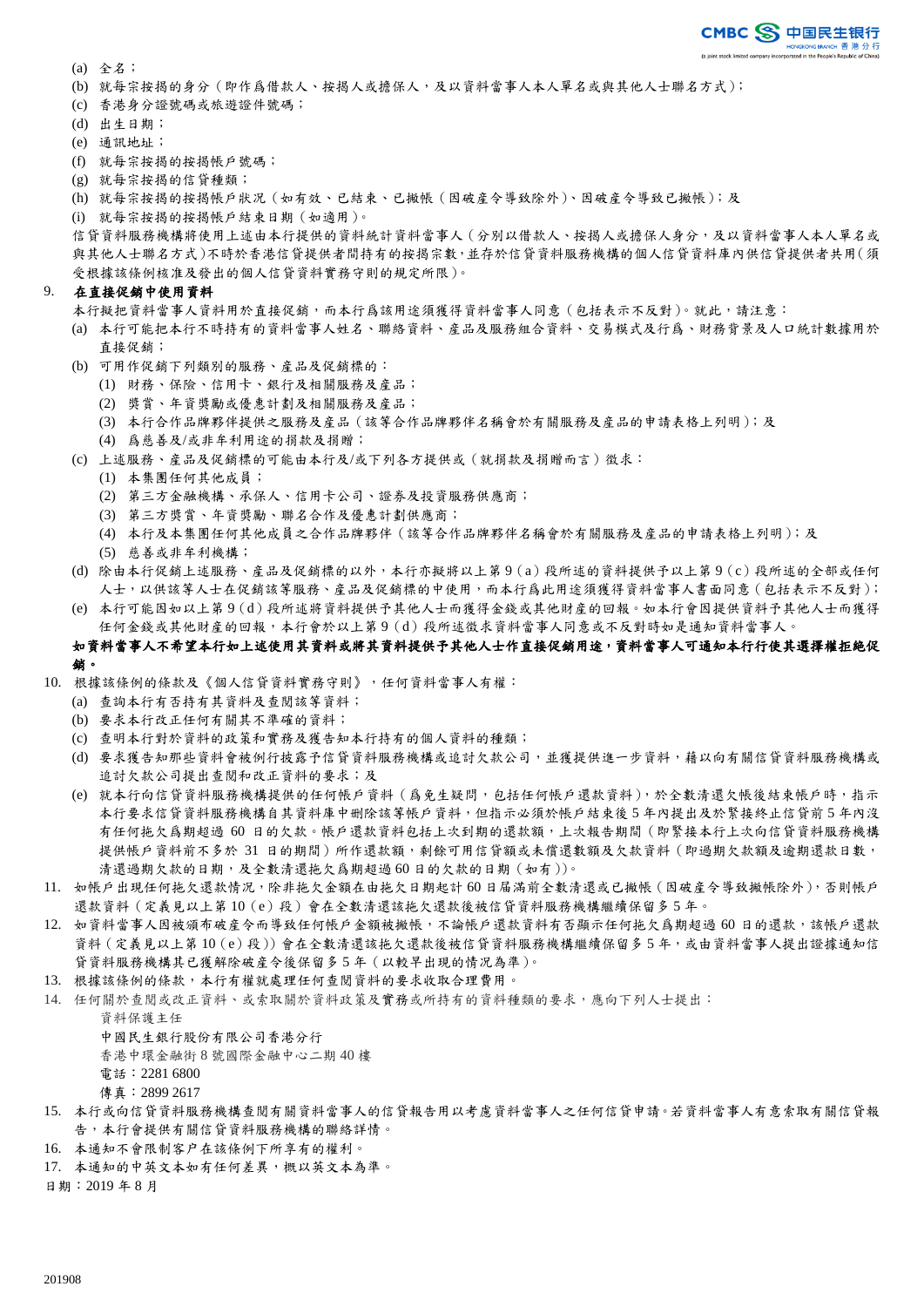- (a) 全名;
- (b) 就每宗按揭的身分(即作爲借款人、按揭人或擔保人,及以資料當事人本人單名或與其他人士聯名方式);
- (c) 香港身分證號碼或旅遊證件號碼;
- (d) 出生日期;
- (e) 通訊地址;
- (f) 就每宗按揭的按揭帳戶號碼;
- (g) 就每宗按揭的信貸種類;
- (h) 就每宗按揭的按揭帳戶狀况(如有效、已結束、已撇帳(因破産令導致除外)、因破産令導致已撇帳);及
- (i) 就每宗按揭的按揭帳戶結束日期(如適用)。

信貸資料服務機構將使用上述由本行提供的資料統計資料當事人(分別以借款人、按揭人或擔保人身分,及以資料當事人本人單名或 與其他人士聯名方式)不時於香港信貸提供者間持有的按揭宗數,並存於信貸資料服務機構的個人信貸資料庫內供信貸提供者共用(須 受根據該條例核准及發出的個人信貸資料實務守則的規定所限)。

#### 9. 在直接促銷中使用資料

本行擬把資料當事人資料用於直接促銷,而本行爲該用途須獲得資料當事人同意(包括表示不反對)。就此,請注意:

- (a) 本行可能把本行不時持有的資料當事人姓名、聯絡資料、産品及服務組合資料、交易模式及行爲、財務背景及人口統計數據用於 直接促銷;
- (b) 可用作促銷下列類別的服務、産品及促銷標的:
	- (1) 財務、保險、信用卡、銀行及相關服務及産品;
	- (2) 獎賞、年資獎勵或優惠計劃及相關服務及産品;
	- (3) 本行合作品牌夥伴提供之服務及産品(該等合作品牌夥伴名稱會於有關服務及産品的申請表格上列明);及
	- (4) 爲慈善及/或非牟利用途的捐款及捐贈;
- (c) 上述服務、産品及促銷標的可能由本行及/或下列各方提供或(就捐款及捐贈而言)徵求:
	- (1) 本集團任何其他成員;
	- (2) 第三方金融機構、承保人、信用卡公司、證券及投資服務供應商;
	- (3) 第三方獎賞、年資獎勵、聯名合作及優惠計劃供應商;
	- (4) 本行及本集團任何其他成員之合作品牌夥伴(該等合作品牌夥伴名稱會於有關服務及産品的申請表格上列明);及
	- (5) 慈善或非牟利機構;
- (d) 除由本行促銷上述服務、産品及促銷標的以外,本行亦擬將以上第 9(a)段所述的資料提供予以上第 9(c)段所述的全部或任何 人士,以供該等人士在促銷該等服務、產品及促銷標的中使用,而本行爲此用途須獲得資料當事人書面同意(包括表示不反對);
- (e) 本行可能因如以上第 9(d)段所述將資料提供予其他人士而獲得金錢或其他財産的回報。如本行會因提供資料予其他人士而獲得 任何金錢或其他財産的回報,本行會於以上第 9(d)段所述徵求資料當事人同意或不反對時如是通知資料當事人。

### 如資料當事人不希望本行如上述使用其資料或將其資料提供予其他人士作直接促銷用途,資料當事人可通知本行行使其選擇權拒絶促 銷。

- 10. 根據該條例的條款及《個人信貸資料實務守則》,任何資料當事人有權:
	- (a) 查詢本行有否持有其資料及查閱該等資料;
	- (b) 要求本行改正任何有關其不準確的資料;
	- (c) 查明本行對於資料的政策和實務及獲告知本行持有的個人資料的種類;
	- (d) 要求獲告知那些資料會被例行披露予信貸資料服務機構或追討欠款公司,並獲提供進一步資料,藉以向有關信貸資料服務機構或 追討欠款公司提出查閱和改正資料的要求;及
	- (e) 就本行向信貸資料服務機構提供的任何帳戶資料(爲免生疑問,包括任何帳戶還款資料),於全數清還欠帳後結束帳戶時,指示 本行要求信貸資料服務機構自其資料庫中删除該等帳戶資料,但指示必須於帳戶結束後 5 年內提出及於緊接終止信貸前 5 年內沒 有任何拖欠爲期超過 60 日的欠款。帳戶還款資料包括上次到期的還款額,上次報告期間(即緊接本行上次向信貸資料服務機構 提供帳戶資料前不多於 31 日的期間)所作還款額,剩餘可用信貸額或未償還數額及欠款資料(即過期欠款額及逾期還款日數, 清還過期欠款的日期,及全數清還拖欠爲期超過 60 日的欠款的日期 (如有))。
- 11. 如帳戶出現任何拖欠還款情况,除非拖欠金額在由拖欠日期起計 60 日届滿前全數清還或已撇帳(因破産令導致撇帳除外),否則帳戶 還款資料(定義見以上第 10(e)段)會在全數清還該拖欠還款後被信貸資料服務機構繼續保留多 5 年。
- 12. 如資料當事人因被頒布破産令而導致任何帳戶金額被撇帳,不論帳戶還款資料有否顯示任何拖欠爲期超過 60 日的還款,該帳戶還款 資料(定義見以上第 10(e)段))會在全數清還該拖欠還款後被信貸資料服務機構繼續保留多 5 年,或由資料當事人提出證據通知信 貸資料服務機構其已獲解除破産令後保留多 5 年(以較早出現的情况為準)。
- 13. 根據該條例的條款,本行有權就處理任何查閱資料的要求收取合理費用。
- 14. 任何關於查閱或改正資料、或索取關於資料政策及實務或所持有的資料種類的要求,應向下列人士提出:

資料保護主任

- 中國民生銀行股份有限公司香港分行
- 香港中環金融街 8 號國際金融中心二期 40 樓
- 電話:2281 6800
- 傳真:2899 2617
- 15. 本行或向信貸資料服務機構查閱有關資料當事人的信貸報告用以考慮資料當事人之任何信貸申請。若資料當事人有意索取有關信貸報 告,本行會提供有關信貸資料服務機構的聯絡詳情。
- 16. 本通知不會限制客户在該條例下所享有的權利。
- 17. 本通知的中英文本如有任何差異,概以英文本為準。

日期:2019 年 8 月